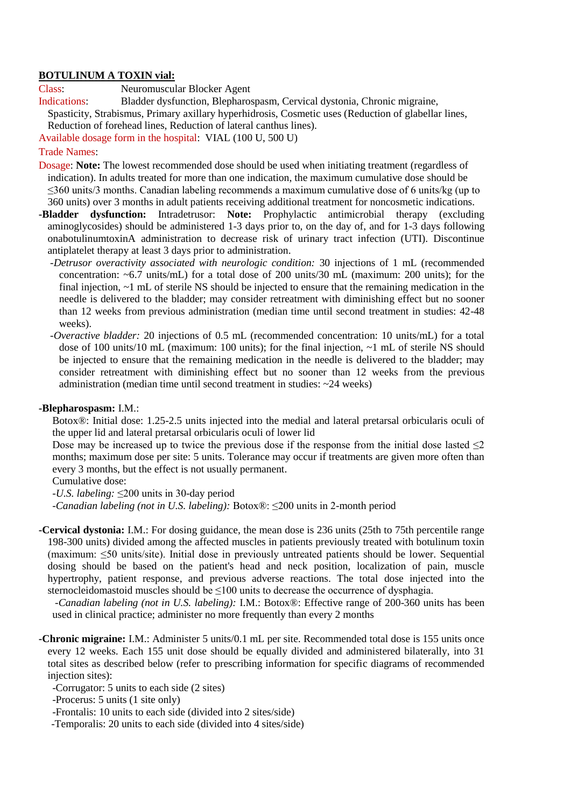#### **BOTULINUM A TOXIN vial:**

Class: Neuromuscular Blocker Agent

Indications: Bladder dysfunction, Blepharospasm, Cervical dystonia, Chronic migraine, Spasticity, Strabismus, Primary axillary hyperhidrosis, Cosmetic uses (Reduction of glabellar lines, Reduction of forehead lines, Reduction of lateral canthus lines).

Available dosage form in the hospital: VIAL (100 U, 500 U)

### Trade Names:

- Dosage: **Note:** The lowest recommended dose should be used when initiating treatment (regardless of indication). In adults treated for more than one indication, the maximum cumulative dose should be ≤360 units/3 months. Canadian labeling recommends a maximum cumulative dose of 6 units/kg (up to 360 units) over 3 months in adult patients receiving additional treatment for noncosmetic indications.
- **-Bladder dysfunction:** Intradetrusor: **Note:** Prophylactic antimicrobial therapy (excluding aminoglycosides) should be administered 1-3 days prior to, on the day of, and for 1-3 days following onabotulinumtoxinA administration to decrease risk of urinary tract infection (UTI). Discontinue antiplatelet therapy at least 3 days prior to administration.
	- *-Detrusor overactivity associated with neurologic condition:* 30 injections of 1 mL (recommended concentration: ~6.7 units/mL) for a total dose of 200 units/30 mL (maximum: 200 units); for the final injection, ~1 mL of sterile NS should be injected to ensure that the remaining medication in the needle is delivered to the bladder; may consider retreatment with diminishing effect but no sooner than 12 weeks from previous administration (median time until second treatment in studies: 42-48 weeks).
	- *-Overactive bladder:* 20 injections of 0.5 mL (recommended concentration: 10 units/mL) for a total dose of 100 units/10 mL (maximum: 100 units); for the final injection, ~1 mL of sterile NS should be injected to ensure that the remaining medication in the needle is delivered to the bladder; may consider retreatment with diminishing effect but no sooner than 12 weeks from the previous administration (median time until second treatment in studies:  $\sim$ 24 weeks)

#### **-Blepharospasm:** I.M.:

Botox®: Initial dose: 1.25-2.5 units injected into the medial and lateral pretarsal orbicularis oculi of the upper lid and lateral pretarsal orbicularis oculi of lower lid

Dose may be increased up to twice the previous dose if the response from the initial dose lasted  $\leq 2$ months; maximum dose per site: 5 units. Tolerance may occur if treatments are given more often than every 3 months, but the effect is not usually permanent.

Cumulative dose:

*-U.S. labeling:* ≤200 units in 30-day period

*-Canadian labeling (not in U.S. labeling):* Botox®: ≤200 units in 2-month period

**-Cervical dystonia:** I.M.: For dosing guidance, the mean dose is 236 units (25th to 75th percentile range 198-300 units) divided among the affected muscles in patients previously treated with botulinum toxin (maximum: ≤50 units/site). Initial dose in previously untreated patients should be lower. Sequential dosing should be based on the patient's head and neck position, localization of pain, muscle hypertrophy, patient response, and previous adverse reactions. The total dose injected into the sternocleidomastoid muscles should be  $\leq 100$  units to decrease the occurrence of dysphagia.

*-Canadian labeling (not in U.S. labeling):* I.M.: Botox®: Effective range of 200-360 units has been used in clinical practice; administer no more frequently than every 2 months

**-Chronic migraine:** I.M.: Administer 5 units/0.1 mL per site. Recommended total dose is 155 units once every 12 weeks. Each 155 unit dose should be equally divided and administered bilaterally, into 31 total sites as described below (refer to prescribing information for specific diagrams of recommended injection sites):

-Corrugator: 5 units to each side (2 sites)

-Procerus: 5 units (1 site only)

-Frontalis: 10 units to each side (divided into 2 sites/side)

-Temporalis: 20 units to each side (divided into 4 sites/side)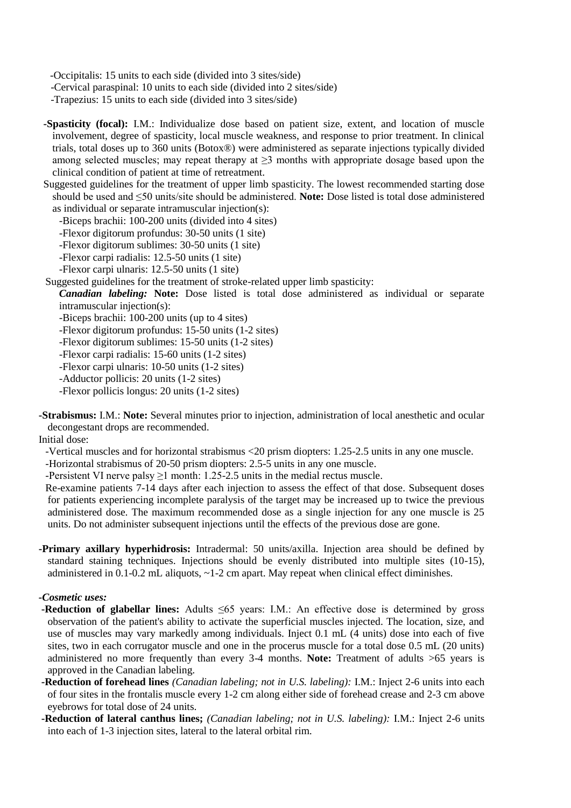-Occipitalis: 15 units to each side (divided into 3 sites/side)

-Cervical paraspinal: 10 units to each side (divided into 2 sites/side)

-Trapezius: 15 units to each side (divided into 3 sites/side)

**-Spasticity (focal):** I.M.: Individualize dose based on patient size, extent, and location of muscle involvement, degree of spasticity, local muscle weakness, and response to prior treatment. In clinical trials, total doses up to 360 units (Botox®) were administered as separate injections typically divided among selected muscles; may repeat therapy at  $\geq$ 3 months with appropriate dosage based upon the clinical condition of patient at time of retreatment.

Suggested guidelines for the treatment of upper limb spasticity. The lowest recommended starting dose should be used and ≤50 units/site should be administered. **Note:** Dose listed is total dose administered as individual or separate intramuscular injection(s):

-Biceps brachii: 100-200 units (divided into 4 sites)

-Flexor digitorum profundus: 30-50 units (1 site)

- -Flexor digitorum sublimes: 30-50 units (1 site)
- -Flexor carpi radialis: 12.5-50 units (1 site)
- -Flexor carpi ulnaris: 12.5-50 units (1 site)

Suggested guidelines for the treatment of stroke-related upper limb spasticity:

*Canadian labeling:* **Note:** Dose listed is total dose administered as individual or separate intramuscular injection(s):

-Biceps brachii: 100-200 units (up to 4 sites)

-Flexor digitorum profundus: 15-50 units (1-2 sites)

-Flexor digitorum sublimes: 15-50 units (1-2 sites)

-Flexor carpi radialis: 15-60 units (1-2 sites)

-Flexor carpi ulnaris: 10-50 units (1-2 sites)

-Adductor pollicis: 20 units (1-2 sites)

-Flexor pollicis longus: 20 units (1-2 sites)

**-Strabismus:** I.M.: **Note:** Several minutes prior to injection, administration of local anesthetic and ocular decongestant drops are recommended.

Initial dose:

-Vertical muscles and for horizontal strabismus <20 prism diopters: 1.25-2.5 units in any one muscle. -Horizontal strabismus of 20-50 prism diopters: 2.5-5 units in any one muscle.

-Persistent VI nerve palsy  $\geq 1$  month: 1.25-2.5 units in the medial rectus muscle.

Re-examine patients 7-14 days after each injection to assess the effect of that dose. Subsequent doses for patients experiencing incomplete paralysis of the target may be increased up to twice the previous administered dose. The maximum recommended dose as a single injection for any one muscle is 25 units. Do not administer subsequent injections until the effects of the previous dose are gone.

**-Primary axillary hyperhidrosis:** Intradermal: 50 units/axilla. Injection area should be defined by standard staining techniques. Injections should be evenly distributed into multiple sites (10-15), administered in  $0.1$ -0.2 mL aliquots,  $\sim$ 1-2 cm apart. May repeat when clinical effect diminishes.

#### *-Cosmetic uses:*

- **-Reduction of glabellar lines:** Adults ≤65 years: I.M.: An effective dose is determined by gross observation of the patient's ability to activate the superficial muscles injected. The location, size, and use of muscles may vary markedly among individuals. Inject 0.1 mL (4 units) dose into each of five sites, two in each corrugator muscle and one in the procerus muscle for a total dose 0.5 mL (20 units) administered no more frequently than every 3-4 months. **Note:** Treatment of adults >65 years is approved in the Canadian labeling.
- **-Reduction of forehead lines** *(Canadian labeling; not in U.S. labeling):* I.M.: Inject 2-6 units into each of four sites in the frontalis muscle every 1-2 cm along either side of forehead crease and 2-3 cm above eyebrows for total dose of 24 units.
- **-Reduction of lateral canthus lines;** *(Canadian labeling; not in U.S. labeling):* I.M.: Inject 2-6 units into each of 1-3 injection sites, lateral to the lateral orbital rim.